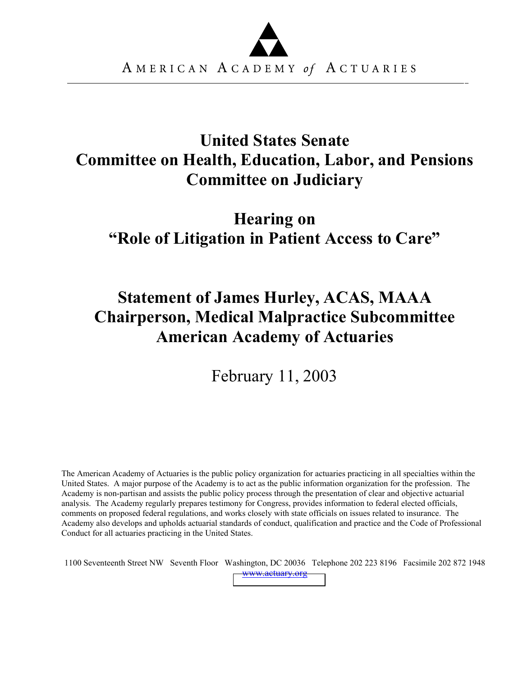

## **United States Senate Committee on Health, Education, Labor, and Pensions Committee on Judiciary**

# **Hearing on "Role of Litigation in Patient Access to Care"**

# **Statement of James Hurley, ACAS, MAAA Chairperson, Medical Malpractice Subcommittee American Academy of Actuaries**

February 11, 2003

The American Academy of Actuaries is the public policy organization for actuaries practicing in all specialties within the United States. A major purpose of the Academy is to act as the public information organization for the profession. The Academy is non-partisan and assists the public policy process through the presentation of clear and objective actuarial analysis. The Academy regularly prepares testimony for Congress, provides information to federal elected officials, comments on proposed federal regulations, and works closely with state officials on issues related to insurance. The Academy also develops and upholds actuarial standards of conduct, qualification and practice and the Code of Professional Conduct for all actuaries practicing in the United States.

1100 Seventeenth Street NW Seventh Floor Washington, DC 20036 Telephone 202 223 8196 Facsimile 202 872 1948 [www.actuary.org](http://www.actuary.org/)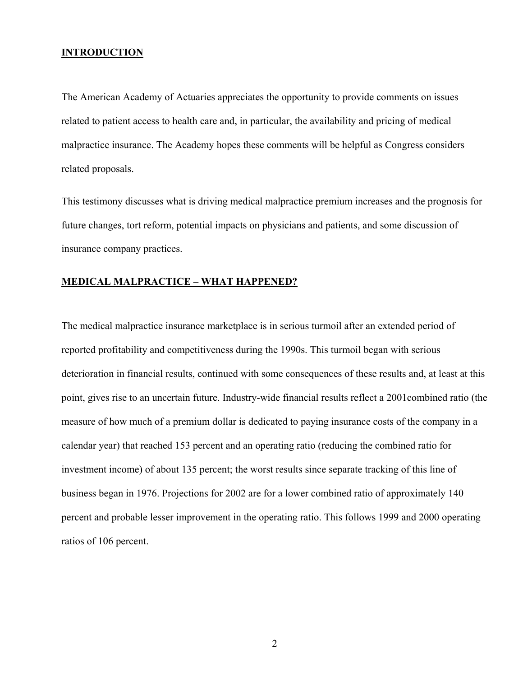#### **INTRODUCTION**

The American Academy of Actuaries appreciates the opportunity to provide comments on issues related to patient access to health care and, in particular, the availability and pricing of medical malpractice insurance. The Academy hopes these comments will be helpful as Congress considers related proposals.

This testimony discusses what is driving medical malpractice premium increases and the prognosis for future changes, tort reform, potential impacts on physicians and patients, and some discussion of insurance company practices.

#### **MEDICAL MALPRACTICE – WHAT HAPPENED?**

The medical malpractice insurance marketplace is in serious turmoil after an extended period of reported profitability and competitiveness during the 1990s. This turmoil began with serious deterioration in financial results, continued with some consequences of these results and, at least at this point, gives rise to an uncertain future. Industry-wide financial results reflect a 2001combined ratio (the measure of how much of a premium dollar is dedicated to paying insurance costs of the company in a calendar year) that reached 153 percent and an operating ratio (reducing the combined ratio for investment income) of about 135 percent; the worst results since separate tracking of this line of business began in 1976. Projections for 2002 are for a lower combined ratio of approximately 140 percent and probable lesser improvement in the operating ratio. This follows 1999 and 2000 operating ratios of 106 percent.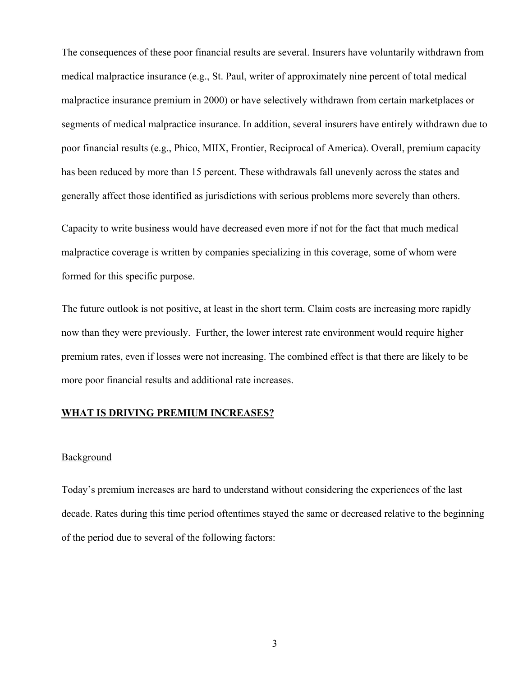The consequences of these poor financial results are several. Insurers have voluntarily withdrawn from medical malpractice insurance (e.g., St. Paul, writer of approximately nine percent of total medical malpractice insurance premium in 2000) or have selectively withdrawn from certain marketplaces or segments of medical malpractice insurance. In addition, several insurers have entirely withdrawn due to poor financial results (e.g., Phico, MIIX, Frontier, Reciprocal of America). Overall, premium capacity has been reduced by more than 15 percent. These withdrawals fall unevenly across the states and generally affect those identified as jurisdictions with serious problems more severely than others.

Capacity to write business would have decreased even more if not for the fact that much medical malpractice coverage is written by companies specializing in this coverage, some of whom were formed for this specific purpose.

The future outlook is not positive, at least in the short term. Claim costs are increasing more rapidly now than they were previously. Further, the lower interest rate environment would require higher premium rates, even if losses were not increasing. The combined effect is that there are likely to be more poor financial results and additional rate increases.

#### **WHAT IS DRIVING PREMIUM INCREASES?**

#### Background

Today's premium increases are hard to understand without considering the experiences of the last decade. Rates during this time period oftentimes stayed the same or decreased relative to the beginning of the period due to several of the following factors: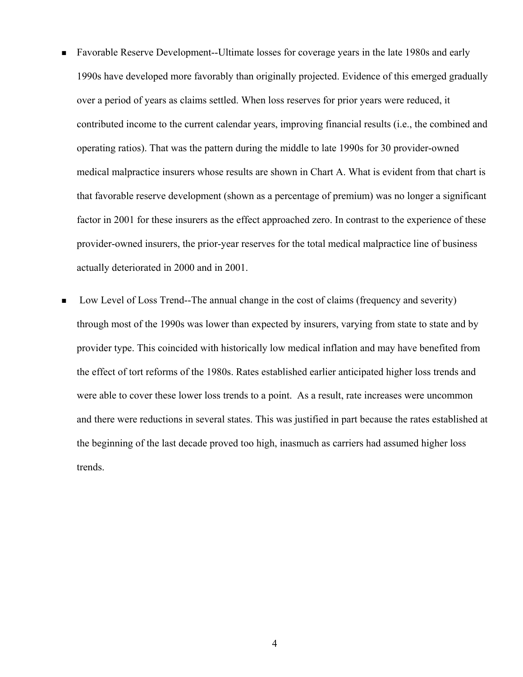- Favorable Reserve Development--Ultimate losses for coverage years in the late 1980s and early 1990s have developed more favorably than originally projected. Evidence of this emerged gradually over a period of years as claims settled. When loss reserves for prior years were reduced, it contributed income to the current calendar years, improving financial results (i.e., the combined and operating ratios). That was the pattern during the middle to late 1990s for 30 provider-owned medical malpractice insurers whose results are shown in Chart A. What is evident from that chart is that favorable reserve development (shown as a percentage of premium) was no longer a significant factor in 2001 for these insurers as the effect approached zero. In contrast to the experience of these provider-owned insurers, the prior-year reserves for the total medical malpractice line of business actually deteriorated in 2000 and in 2001.
- Low Level of Loss Trend--The annual change in the cost of claims (frequency and severity) through most of the 1990s was lower than expected by insurers, varying from state to state and by provider type. This coincided with historically low medical inflation and may have benefited from the effect of tort reforms of the 1980s. Rates established earlier anticipated higher loss trends and were able to cover these lower loss trends to a point. As a result, rate increases were uncommon and there were reductions in several states. This was justified in part because the rates established at the beginning of the last decade proved too high, inasmuch as carriers had assumed higher loss trends.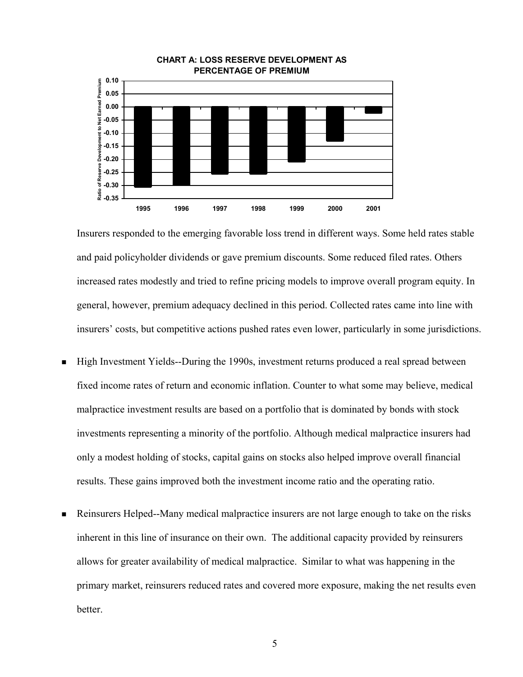

Insurers responded to the emerging favorable loss trend in different ways. Some held rates stable and paid policyholder dividends or gave premium discounts. Some reduced filed rates. Others increased rates modestly and tried to refine pricing models to improve overall program equity. In general, however, premium adequacy declined in this period. Collected rates came into line with insurers' costs, but competitive actions pushed rates even lower, particularly in some jurisdictions.

- High Investment Yields--During the 1990s, investment returns produced a real spread between fixed income rates of return and economic inflation. Counter to what some may believe, medical malpractice investment results are based on a portfolio that is dominated by bonds with stock investments representing a minority of the portfolio. Although medical malpractice insurers had only a modest holding of stocks, capital gains on stocks also helped improve overall financial results. These gains improved both the investment income ratio and the operating ratio.
- Reinsurers Helped--Many medical malpractice insurers are not large enough to take on the risks inherent in this line of insurance on their own. The additional capacity provided by reinsurers allows for greater availability of medical malpractice. Similar to what was happening in the primary market, reinsurers reduced rates and covered more exposure, making the net results even better.

5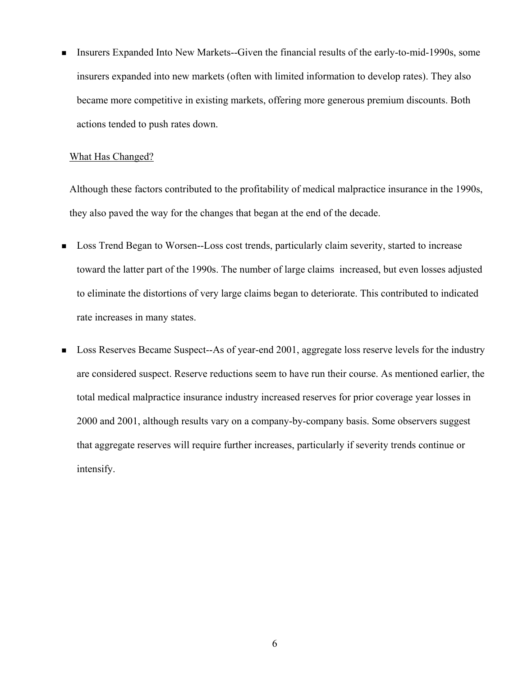Insurers Expanded Into New Markets--Given the financial results of the early-to-mid-1990s, some insurers expanded into new markets (often with limited information to develop rates). They also became more competitive in existing markets, offering more generous premium discounts. Both actions tended to push rates down.

#### What Has Changed?

Although these factors contributed to the profitability of medical malpractice insurance in the 1990s, they also paved the way for the changes that began at the end of the decade.

- Loss Trend Began to Worsen--Loss cost trends, particularly claim severity, started to increase toward the latter part of the 1990s. The number of large claims increased, but even losses adjusted to eliminate the distortions of very large claims began to deteriorate. This contributed to indicated rate increases in many states.
- **Loss Reserves Became Suspect--As of year-end 2001, aggregate loss reserve levels for the industry** are considered suspect. Reserve reductions seem to have run their course. As mentioned earlier, the total medical malpractice insurance industry increased reserves for prior coverage year losses in 2000 and 2001, although results vary on a company-by-company basis. Some observers suggest that aggregate reserves will require further increases, particularly if severity trends continue or intensify.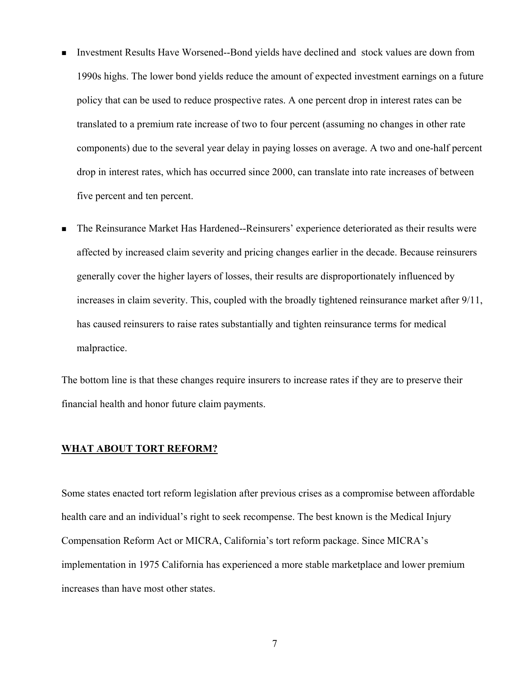- Investment Results Have Worsened--Bond yields have declined and stock values are down from 1990s highs. The lower bond yields reduce the amount of expected investment earnings on a future policy that can be used to reduce prospective rates. A one percent drop in interest rates can be translated to a premium rate increase of two to four percent (assuming no changes in other rate components) due to the several year delay in paying losses on average. A two and one-half percent drop in interest rates, which has occurred since 2000, can translate into rate increases of between five percent and ten percent.
- The Reinsurance Market Has Hardened--Reinsurers' experience deteriorated as their results were affected by increased claim severity and pricing changes earlier in the decade. Because reinsurers generally cover the higher layers of losses, their results are disproportionately influenced by increases in claim severity. This, coupled with the broadly tightened reinsurance market after 9/11, has caused reinsurers to raise rates substantially and tighten reinsurance terms for medical malpractice.

The bottom line is that these changes require insurers to increase rates if they are to preserve their financial health and honor future claim payments.

#### **WHAT ABOUT TORT REFORM?**

Some states enacted tort reform legislation after previous crises as a compromise between affordable health care and an individual's right to seek recompense. The best known is the Medical Injury Compensation Reform Act or MICRA, California's tort reform package. Since MICRA's implementation in 1975 California has experienced a more stable marketplace and lower premium increases than have most other states.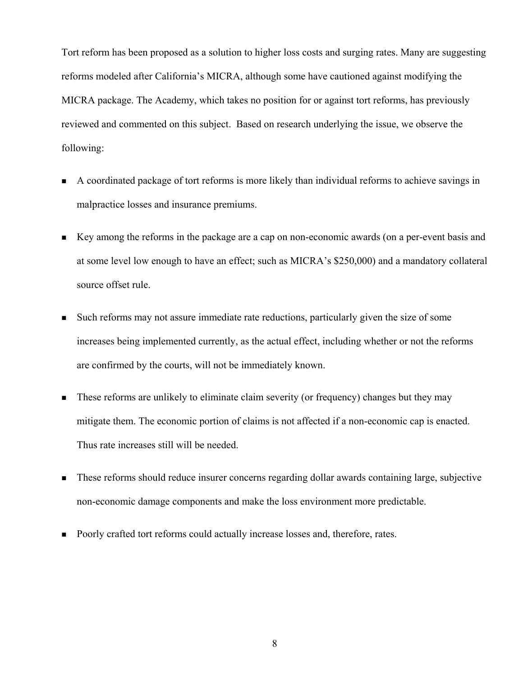Tort reform has been proposed as a solution to higher loss costs and surging rates. Many are suggesting reforms modeled after California's MICRA, although some have cautioned against modifying the MICRA package. The Academy, which takes no position for or against tort reforms, has previously reviewed and commented on this subject. Based on research underlying the issue, we observe the following:

- A coordinated package of tort reforms is more likely than individual reforms to achieve savings in malpractice losses and insurance premiums.
- Key among the reforms in the package are a cap on non-economic awards (on a per-event basis and at some level low enough to have an effect; such as MICRA's \$250,000) and a mandatory collateral source offset rule.
- Such reforms may not assure immediate rate reductions, particularly given the size of some increases being implemented currently, as the actual effect, including whether or not the reforms are confirmed by the courts, will not be immediately known.
- These reforms are unlikely to eliminate claim severity (or frequency) changes but they may mitigate them. The economic portion of claims is not affected if a non-economic cap is enacted. Thus rate increases still will be needed.
- These reforms should reduce insurer concerns regarding dollar awards containing large, subjective non-economic damage components and make the loss environment more predictable.
- Poorly crafted tort reforms could actually increase losses and, therefore, rates.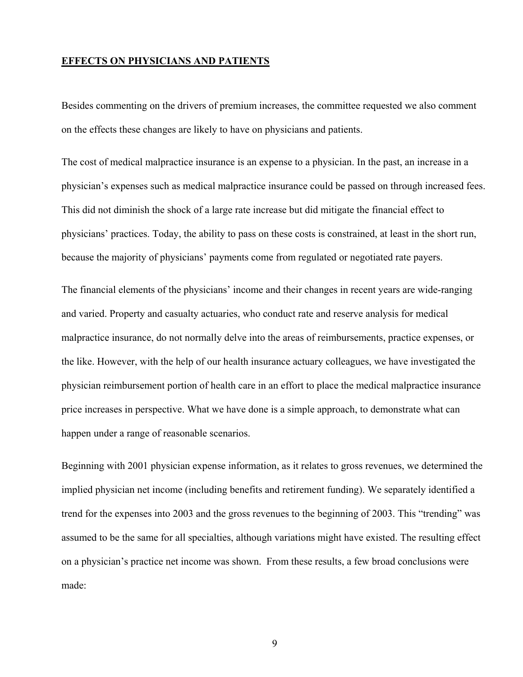#### **EFFECTS ON PHYSICIANS AND PATIENTS**

Besides commenting on the drivers of premium increases, the committee requested we also comment on the effects these changes are likely to have on physicians and patients.

The cost of medical malpractice insurance is an expense to a physician. In the past, an increase in a physician's expenses such as medical malpractice insurance could be passed on through increased fees. This did not diminish the shock of a large rate increase but did mitigate the financial effect to physicians' practices. Today, the ability to pass on these costs is constrained, at least in the short run, because the majority of physicians' payments come from regulated or negotiated rate payers.

The financial elements of the physicians' income and their changes in recent years are wide-ranging and varied. Property and casualty actuaries, who conduct rate and reserve analysis for medical malpractice insurance, do not normally delve into the areas of reimbursements, practice expenses, or the like. However, with the help of our health insurance actuary colleagues, we have investigated the physician reimbursement portion of health care in an effort to place the medical malpractice insurance price increases in perspective. What we have done is a simple approach, to demonstrate what can happen under a range of reasonable scenarios.

Beginning with 2001 physician expense information, as it relates to gross revenues, we determined the implied physician net income (including benefits and retirement funding). We separately identified a trend for the expenses into 2003 and the gross revenues to the beginning of 2003. This "trending" was assumed to be the same for all specialties, although variations might have existed. The resulting effect on a physician's practice net income was shown. From these results, a few broad conclusions were made: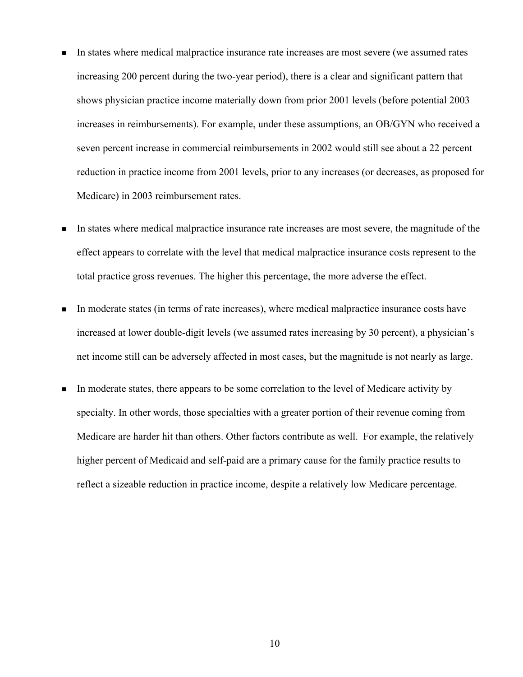- In states where medical malpractice insurance rate increases are most severe (we assumed rates increasing 200 percent during the two-year period), there is a clear and significant pattern that shows physician practice income materially down from prior 2001 levels (before potential 2003 increases in reimbursements). For example, under these assumptions, an OB/GYN who received a seven percent increase in commercial reimbursements in 2002 would still see about a 22 percent reduction in practice income from 2001 levels, prior to any increases (or decreases, as proposed for Medicare) in 2003 reimbursement rates.
- In states where medical malpractice insurance rate increases are most severe, the magnitude of the effect appears to correlate with the level that medical malpractice insurance costs represent to the total practice gross revenues. The higher this percentage, the more adverse the effect.
- In moderate states (in terms of rate increases), where medical malpractice insurance costs have increased at lower double-digit levels (we assumed rates increasing by 30 percent), a physician's net income still can be adversely affected in most cases, but the magnitude is not nearly as large.
- In moderate states, there appears to be some correlation to the level of Medicare activity by specialty. In other words, those specialties with a greater portion of their revenue coming from Medicare are harder hit than others. Other factors contribute as well. For example, the relatively higher percent of Medicaid and self-paid are a primary cause for the family practice results to reflect a sizeable reduction in practice income, despite a relatively low Medicare percentage.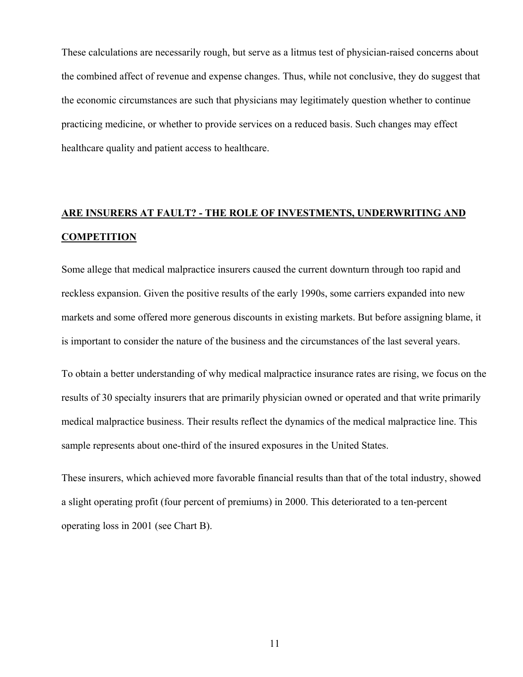These calculations are necessarily rough, but serve as a litmus test of physician-raised concerns about the combined affect of revenue and expense changes. Thus, while not conclusive, they do suggest that the economic circumstances are such that physicians may legitimately question whether to continue practicing medicine, or whether to provide services on a reduced basis. Such changes may effect healthcare quality and patient access to healthcare.

### **ARE INSURERS AT FAULT? - THE ROLE OF INVESTMENTS, UNDERWRITING AND COMPETITION**

Some allege that medical malpractice insurers caused the current downturn through too rapid and reckless expansion. Given the positive results of the early 1990s, some carriers expanded into new markets and some offered more generous discounts in existing markets. But before assigning blame, it is important to consider the nature of the business and the circumstances of the last several years.

To obtain a better understanding of why medical malpractice insurance rates are rising, we focus on the results of 30 specialty insurers that are primarily physician owned or operated and that write primarily medical malpractice business. Their results reflect the dynamics of the medical malpractice line. This sample represents about one-third of the insured exposures in the United States.

These insurers, which achieved more favorable financial results than that of the total industry, showed a slight operating profit (four percent of premiums) in 2000. This deteriorated to a ten-percent operating loss in 2001 (see Chart B).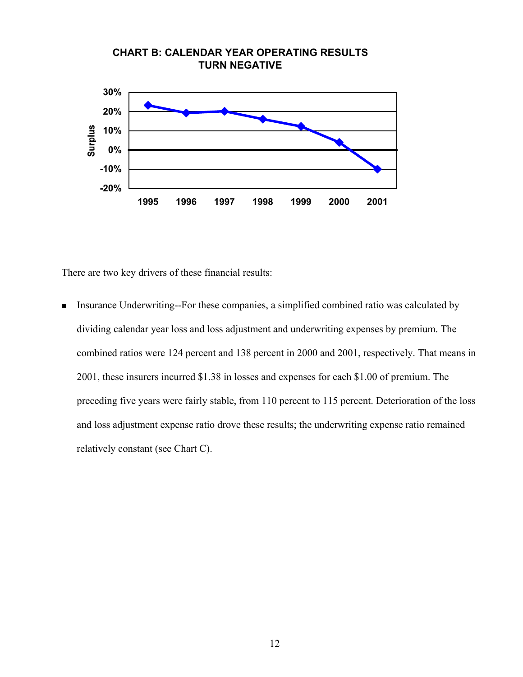

There are two key drivers of these financial results:

Insurance Underwriting--For these companies, a simplified combined ratio was calculated by dividing calendar year loss and loss adjustment and underwriting expenses by premium. The combined ratios were 124 percent and 138 percent in 2000 and 2001, respectively. That means in 2001, these insurers incurred \$1.38 in losses and expenses for each \$1.00 of premium. The preceding five years were fairly stable, from 110 percent to 115 percent. Deterioration of the loss and loss adjustment expense ratio drove these results; the underwriting expense ratio remained relatively constant (see Chart C).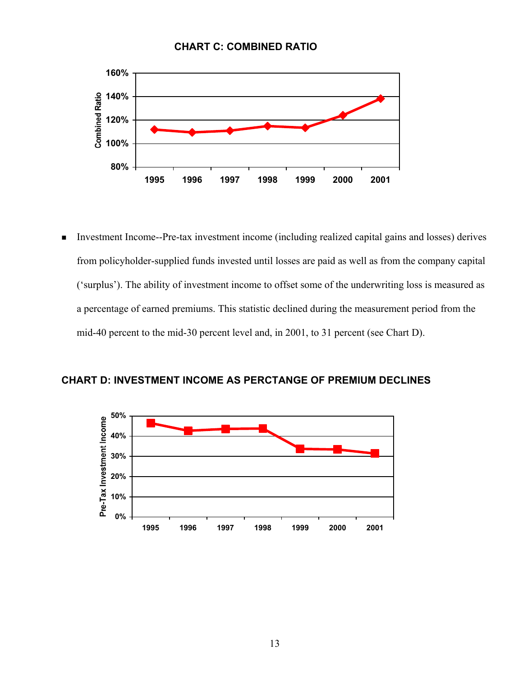



 Investment Income--Pre-tax investment income (including realized capital gains and losses) derives from policyholder-supplied funds invested until losses are paid as well as from the company capital ('surplus'). The ability of investment income to offset some of the underwriting loss is measured as a percentage of earned premiums. This statistic declined during the measurement period from the mid-40 percent to the mid-30 percent level and, in 2001, to 31 percent (see Chart D).



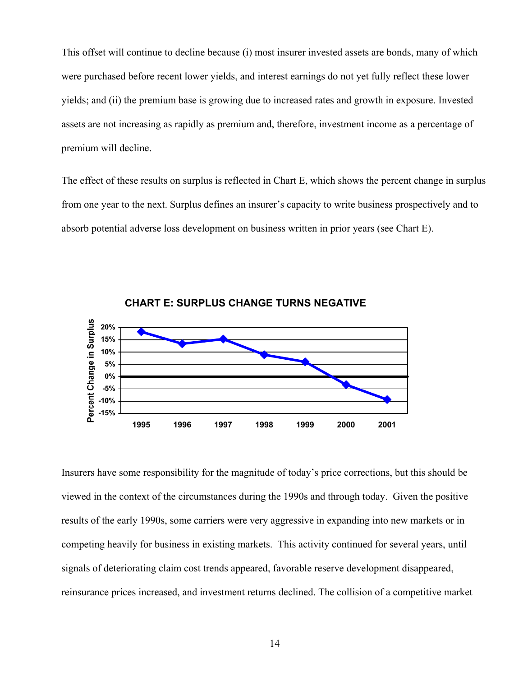This offset will continue to decline because (i) most insurer invested assets are bonds, many of which were purchased before recent lower yields, and interest earnings do not yet fully reflect these lower yields; and (ii) the premium base is growing due to increased rates and growth in exposure. Invested assets are not increasing as rapidly as premium and, therefore, investment income as a percentage of premium will decline.

The effect of these results on surplus is reflected in Chart E, which shows the percent change in surplus from one year to the next. Surplus defines an insurer's capacity to write business prospectively and to absorb potential adverse loss development on business written in prior years (see Chart E).





Insurers have some responsibility for the magnitude of today's price corrections, but this should be viewed in the context of the circumstances during the 1990s and through today. Given the positive results of the early 1990s, some carriers were very aggressive in expanding into new markets or in competing heavily for business in existing markets. This activity continued for several years, until signals of deteriorating claim cost trends appeared, favorable reserve development disappeared, reinsurance prices increased, and investment returns declined. The collision of a competitive market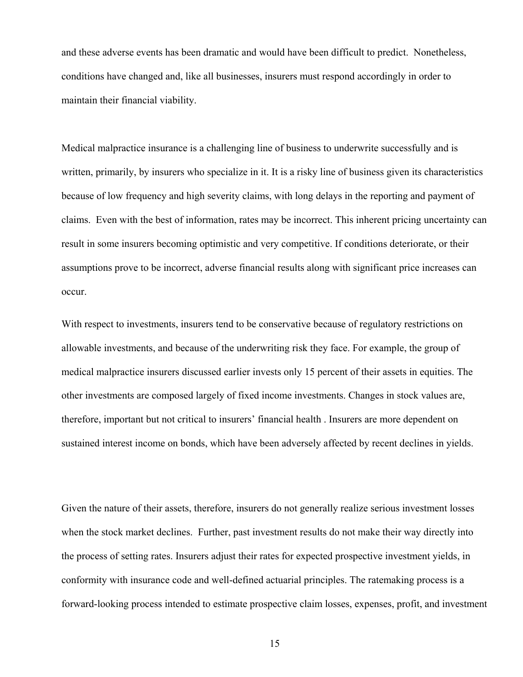and these adverse events has been dramatic and would have been difficult to predict. Nonetheless, conditions have changed and, like all businesses, insurers must respond accordingly in order to maintain their financial viability.

Medical malpractice insurance is a challenging line of business to underwrite successfully and is written, primarily, by insurers who specialize in it. It is a risky line of business given its characteristics because of low frequency and high severity claims, with long delays in the reporting and payment of claims. Even with the best of information, rates may be incorrect. This inherent pricing uncertainty can result in some insurers becoming optimistic and very competitive. If conditions deteriorate, or their assumptions prove to be incorrect, adverse financial results along with significant price increases can occur.

With respect to investments, insurers tend to be conservative because of regulatory restrictions on allowable investments, and because of the underwriting risk they face. For example, the group of medical malpractice insurers discussed earlier invests only 15 percent of their assets in equities. The other investments are composed largely of fixed income investments. Changes in stock values are, therefore, important but not critical to insurers' financial health . Insurers are more dependent on sustained interest income on bonds, which have been adversely affected by recent declines in yields.

Given the nature of their assets, therefore, insurers do not generally realize serious investment losses when the stock market declines. Further, past investment results do not make their way directly into the process of setting rates. Insurers adjust their rates for expected prospective investment yields, in conformity with insurance code and well-defined actuarial principles. The ratemaking process is a forward-looking process intended to estimate prospective claim losses, expenses, profit, and investment